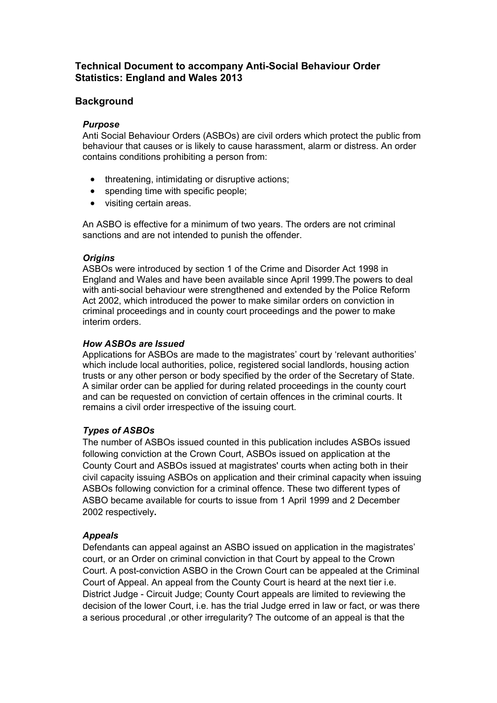# **Technical Document to accompany Anti-Social Behaviour Order Statistics: England and Wales 2013**

## **Background**

### *Purpose*

Anti Social Behaviour Orders (ASBOs) are civil orders which protect the public from behaviour that causes or is likely to cause harassment, alarm or distress. An order contains conditions prohibiting a person from:

- threatening, intimidating or disruptive actions:
- spending time with specific people;
- visiting certain areas.

An ASBO is effective for a minimum of two years. The orders are not criminal sanctions and are not intended to punish the offender.

## *Origins*

ASBOs were introduced by section 1 of the Crime and Disorder Act 1998 in England and Wales and have been available since April 1999.The powers to deal with anti-social behaviour were strengthened and extended by the Police Reform Act 2002, which introduced the power to make similar orders on conviction in criminal proceedings and in county court proceedings and the power to make interim orders.

## *How ASBOs are Issued*

Applications for ASBOs are made to the magistrates' court by 'relevant authorities' which include local authorities, police, registered social landlords, housing action trusts or any other person or body specified by the order of the Secretary of State. A similar order can be applied for during related proceedings in the county court and can be requested on conviction of certain offences in the criminal courts. It remains a civil order irrespective of the issuing court.

## *Types of ASBOs*

The number of ASBOs issued counted in this publication includes ASBOs issued following conviction at the Crown Court, ASBOs issued on application at the County Court and ASBOs issued at magistrates' courts when acting both in their civil capacity issuing ASBOs on application and their criminal capacity when issuing ASBOs following conviction for a criminal offence. These two different types of ASBO became available for courts to issue from 1 April 1999 and 2 December 2002 respectively**.** 

#### *Appeals*

Defendants can appeal against an ASBO issued on application in the magistrates' court, or an Order on criminal conviction in that Court by appeal to the Crown Court. A post-conviction ASBO in the Crown Court can be appealed at the Criminal Court of Appeal. An appeal from the County Court is heard at the next tier i.e. District Judge - Circuit Judge; County Court appeals are limited to reviewing the decision of the lower Court, i.e. has the trial Judge erred in law or fact, or was there a serious procedural ,or other irregularity? The outcome of an appeal is that the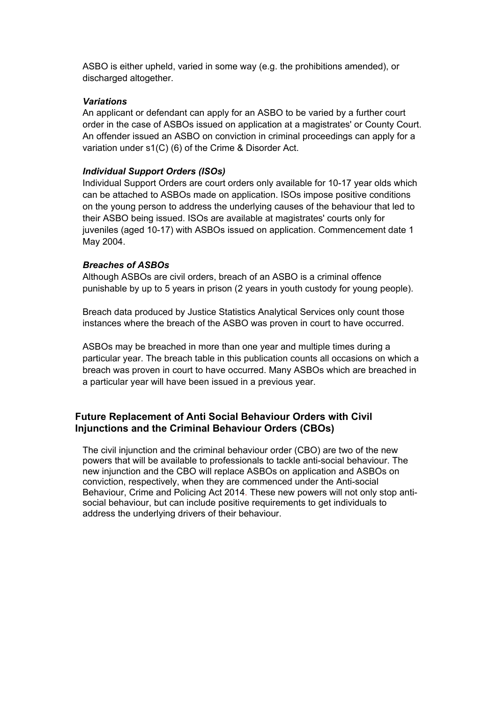ASBO is either upheld, varied in some way (e.g. the prohibitions amended), or discharged altogether.

#### *Variations*

An applicant or defendant can apply for an ASBO to be varied by a further court order in the case of ASBOs issued on application at a magistrates' or County Court. An offender issued an ASBO on conviction in criminal proceedings can apply for a variation under s1(C) (6) of the Crime & Disorder Act.

#### *Individual Support Orders (ISOs)*

Individual Support Orders are court orders only available for 10-17 year olds which can be attached to ASBOs made on application. ISOs impose positive conditions on the young person to address the underlying causes of the behaviour that led to their ASBO being issued. ISOs are available at magistrates' courts only for juveniles (aged 10-17) with ASBOs issued on application. Commencement date 1 May 2004.

#### *Breaches of ASBOs*

Although ASBOs are civil orders, breach of an ASBO is a criminal offence punishable by up to 5 years in prison (2 years in youth custody for young people).

Breach data produced by Justice Statistics Analytical Services only count those instances where the breach of the ASBO was proven in court to have occurred.

ASBOs may be breached in more than one year and multiple times during a particular year. The breach table in this publication counts all occasions on which a breach was proven in court to have occurred. Many ASBOs which are breached in a particular year will have been issued in a previous year.

# **Future Replacement of Anti Social Behaviour Orders with Civil Injunctions and the Criminal Behaviour Orders (CBOs)**

The civil injunction and the criminal behaviour order (CBO) are two of the new powers that will be available to professionals to tackle anti-social behaviour. The new injunction and the CBO will replace ASBOs on application and ASBOs on conviction, respectively, when they are commenced under the Anti-social Behaviour, Crime and Policing Act 2014. These new powers will not only stop antisocial behaviour, but can include positive requirements to get individuals to address the underlying drivers of their behaviour.